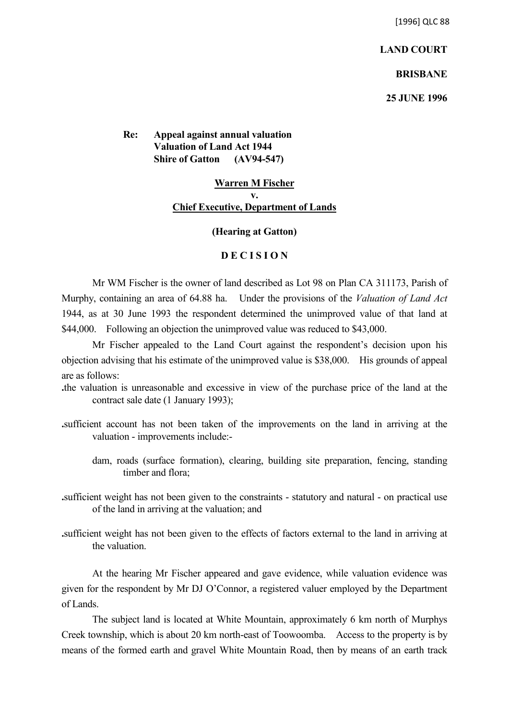[1996] QLC 88

**LAND COURT**

**BRISBANE**

**25 JUNE 1996**

**Re: Appeal against annual valuation Valuation of Land Act 1944 Shire of Gatton (AV94-547)**

## **Warren M Fischer v. Chief Executive, Department of Lands**

## **(Hearing at Gatton)**

## **D E C I S I O N**

Mr WM Fischer is the owner of land described as Lot 98 on Plan CA 311173, Parish of Murphy, containing an area of 64.88 ha. Under the provisions of the *Valuation of Land Act* 1944, as at 30 June 1993 the respondent determined the unimproved value of that land at \$44,000. Following an objection the unimproved value was reduced to \$43,000.

Mr Fischer appealed to the Land Court against the respondent's decision upon his objection advising that his estimate of the unimproved value is \$38,000. His grounds of appeal are as follows:

- **.**the valuation is unreasonable and excessive in view of the purchase price of the land at the contract sale date (1 January 1993);
- **.**sufficient account has not been taken of the improvements on the land in arriving at the valuation - improvements include:
	- dam, roads (surface formation), clearing, building site preparation, fencing, standing timber and flora;
- **.**sufficient weight has not been given to the constraints statutory and natural on practical use of the land in arriving at the valuation; and
- **.**sufficient weight has not been given to the effects of factors external to the land in arriving at the valuation.

At the hearing Mr Fischer appeared and gave evidence, while valuation evidence was given for the respondent by Mr DJ O'Connor, a registered valuer employed by the Department of Lands.

The subject land is located at White Mountain, approximately 6 km north of Murphys Creek township, which is about 20 km north-east of Toowoomba. Access to the property is by means of the formed earth and gravel White Mountain Road, then by means of an earth track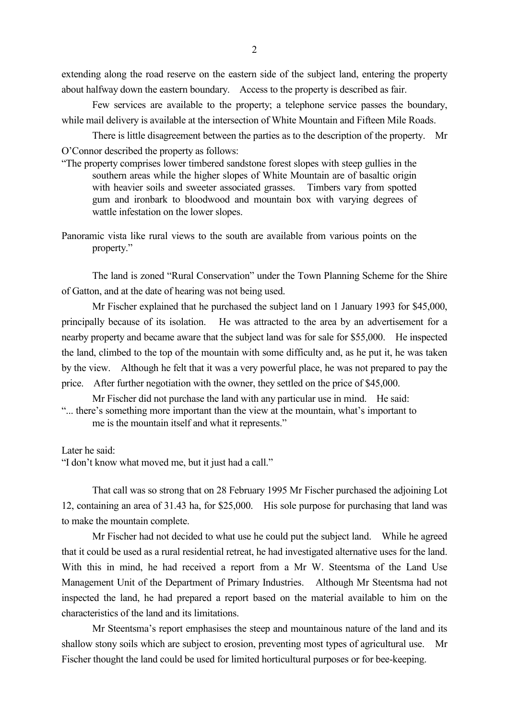extending along the road reserve on the eastern side of the subject land, entering the property about halfway down the eastern boundary. Access to the property is described as fair.

Few services are available to the property; a telephone service passes the boundary, while mail delivery is available at the intersection of White Mountain and Fifteen Mile Roads.

There is little disagreement between the parties as to the description of the property. Mr O'Connor described the property as follows:

- "The property comprises lower timbered sandstone forest slopes with steep gullies in the southern areas while the higher slopes of White Mountain are of basaltic origin with heavier soils and sweeter associated grasses. Timbers vary from spotted gum and ironbark to bloodwood and mountain box with varying degrees of wattle infestation on the lower slopes.
- Panoramic vista like rural views to the south are available from various points on the property."

The land is zoned "Rural Conservation" under the Town Planning Scheme for the Shire of Gatton, and at the date of hearing was not being used.

Mr Fischer explained that he purchased the subject land on 1 January 1993 for \$45,000, principally because of its isolation. He was attracted to the area by an advertisement for a nearby property and became aware that the subject land was for sale for \$55,000. He inspected the land, climbed to the top of the mountain with some difficulty and, as he put it, he was taken by the view. Although he felt that it was a very powerful place, he was not prepared to pay the price. After further negotiation with the owner, they settled on the price of \$45,000.

Mr Fischer did not purchase the land with any particular use in mind. He said: "... there's something more important than the view at the mountain, what's important to me is the mountain itself and what it represents."

Later he said:

"I don't know what moved me, but it just had a call."

That call was so strong that on 28 February 1995 Mr Fischer purchased the adjoining Lot 12, containing an area of 31.43 ha, for \$25,000. His sole purpose for purchasing that land was to make the mountain complete.

Mr Fischer had not decided to what use he could put the subject land. While he agreed that it could be used as a rural residential retreat, he had investigated alternative uses for the land. With this in mind, he had received a report from a Mr W. Steentsma of the Land Use Management Unit of the Department of Primary Industries. Although Mr Steentsma had not inspected the land, he had prepared a report based on the material available to him on the characteristics of the land and its limitations.

Mr Steentsma's report emphasises the steep and mountainous nature of the land and its shallow stony soils which are subject to erosion, preventing most types of agricultural use. Mr Fischer thought the land could be used for limited horticultural purposes or for bee-keeping.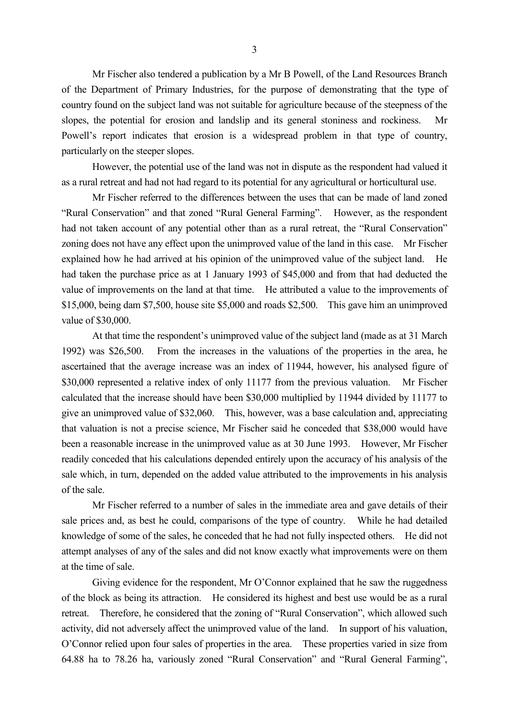Mr Fischer also tendered a publication by a Mr B Powell, of the Land Resources Branch of the Department of Primary Industries, for the purpose of demonstrating that the type of country found on the subject land was not suitable for agriculture because of the steepness of the slopes, the potential for erosion and landslip and its general stoniness and rockiness. Mr Powell's report indicates that erosion is a widespread problem in that type of country, particularly on the steeper slopes.

However, the potential use of the land was not in dispute as the respondent had valued it as a rural retreat and had not had regard to its potential for any agricultural or horticultural use.

Mr Fischer referred to the differences between the uses that can be made of land zoned "Rural Conservation" and that zoned "Rural General Farming". However, as the respondent had not taken account of any potential other than as a rural retreat, the "Rural Conservation" zoning does not have any effect upon the unimproved value of the land in this case. Mr Fischer explained how he had arrived at his opinion of the unimproved value of the subject land. He had taken the purchase price as at 1 January 1993 of \$45,000 and from that had deducted the value of improvements on the land at that time. He attributed a value to the improvements of \$15,000, being dam \$7,500, house site \$5,000 and roads \$2,500. This gave him an unimproved value of \$30,000.

At that time the respondent's unimproved value of the subject land (made as at 31 March 1992) was \$26,500. From the increases in the valuations of the properties in the area, he ascertained that the average increase was an index of 11944, however, his analysed figure of \$30,000 represented a relative index of only 11177 from the previous valuation. Mr Fischer calculated that the increase should have been \$30,000 multiplied by 11944 divided by 11177 to give an unimproved value of \$32,060. This, however, was a base calculation and, appreciating that valuation is not a precise science, Mr Fischer said he conceded that \$38,000 would have been a reasonable increase in the unimproved value as at 30 June 1993. However, Mr Fischer readily conceded that his calculations depended entirely upon the accuracy of his analysis of the sale which, in turn, depended on the added value attributed to the improvements in his analysis of the sale.

Mr Fischer referred to a number of sales in the immediate area and gave details of their sale prices and, as best he could, comparisons of the type of country. While he had detailed knowledge of some of the sales, he conceded that he had not fully inspected others. He did not attempt analyses of any of the sales and did not know exactly what improvements were on them at the time of sale.

Giving evidence for the respondent, Mr O'Connor explained that he saw the ruggedness of the block as being its attraction. He considered its highest and best use would be as a rural retreat. Therefore, he considered that the zoning of "Rural Conservation", which allowed such activity, did not adversely affect the unimproved value of the land. In support of his valuation, O'Connor relied upon four sales of properties in the area. These properties varied in size from 64.88 ha to 78.26 ha, variously zoned "Rural Conservation" and "Rural General Farming",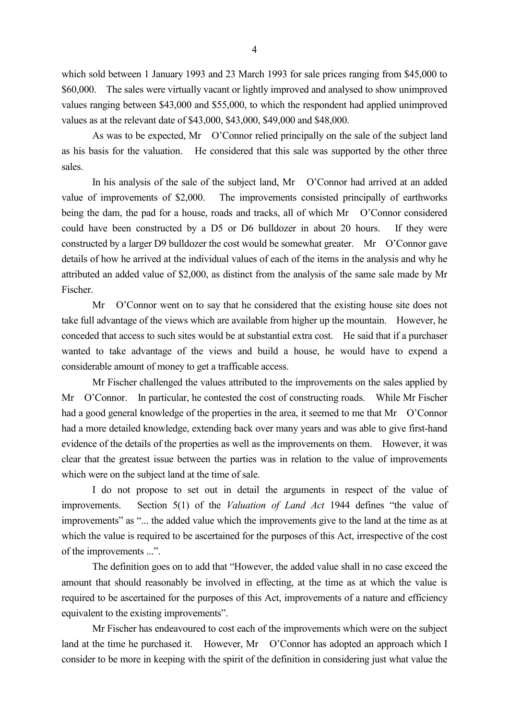which sold between 1 January 1993 and 23 March 1993 for sale prices ranging from \$45,000 to \$60,000. The sales were virtually vacant or lightly improved and analysed to show unimproved values ranging between \$43,000 and \$55,000, to which the respondent had applied unimproved values as at the relevant date of \$43,000, \$43,000, \$49,000 and \$48,000.

As was to be expected, Mr O'Connor relied principally on the sale of the subject land as his basis for the valuation. He considered that this sale was supported by the other three sales.

In his analysis of the sale of the subject land, Mr O'Connor had arrived at an added value of improvements of \$2,000. The improvements consisted principally of earthworks being the dam, the pad for a house, roads and tracks, all of which Mr O'Connor considered could have been constructed by a D5 or D6 bulldozer in about 20 hours. If they were constructed by a larger D9 bulldozer the cost would be somewhat greater. Mr O'Connor gave details of how he arrived at the individual values of each of the items in the analysis and why he attributed an added value of \$2,000, as distinct from the analysis of the same sale made by Mr Fischer.

Mr O'Connor went on to say that he considered that the existing house site does not take full advantage of the views which are available from higher up the mountain. However, he conceded that access to such sites would be at substantial extra cost. He said that if a purchaser wanted to take advantage of the views and build a house, he would have to expend a considerable amount of money to get a trafficable access.

Mr Fischer challenged the values attributed to the improvements on the sales applied by Mr O'Connor. In particular, he contested the cost of constructing roads. While Mr Fischer had a good general knowledge of the properties in the area, it seemed to me that Mr O'Connor had a more detailed knowledge, extending back over many years and was able to give first-hand evidence of the details of the properties as well as the improvements on them. However, it was clear that the greatest issue between the parties was in relation to the value of improvements which were on the subject land at the time of sale.

I do not propose to set out in detail the arguments in respect of the value of improvements. Section 5(1) of the *Valuation of Land Act* 1944 defines "the value of improvements" as "... the added value which the improvements give to the land at the time as at which the value is required to be ascertained for the purposes of this Act, irrespective of the cost of the improvements ...".

The definition goes on to add that "However, the added value shall in no case exceed the amount that should reasonably be involved in effecting, at the time as at which the value is required to be ascertained for the purposes of this Act, improvements of a nature and efficiency equivalent to the existing improvements".

Mr Fischer has endeavoured to cost each of the improvements which were on the subject land at the time he purchased it. However, Mr O'Connor has adopted an approach which I consider to be more in keeping with the spirit of the definition in considering just what value the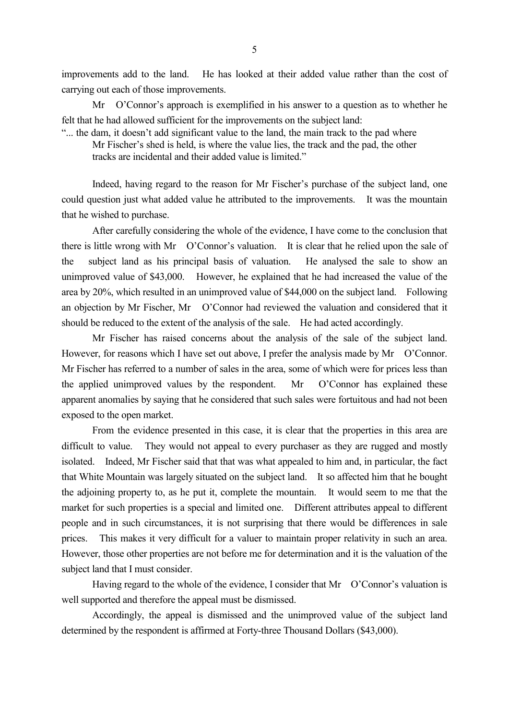improvements add to the land. He has looked at their added value rather than the cost of carrying out each of those improvements.

Mr O'Connor's approach is exemplified in his answer to a question as to whether he felt that he had allowed sufficient for the improvements on the subject land:

"... the dam, it doesn't add significant value to the land, the main track to the pad where Mr Fischer's shed is held, is where the value lies, the track and the pad, the other

tracks are incidental and their added value is limited."

Indeed, having regard to the reason for Mr Fischer's purchase of the subject land, one could question just what added value he attributed to the improvements. It was the mountain that he wished to purchase.

After carefully considering the whole of the evidence, I have come to the conclusion that there is little wrong with Mr O'Connor's valuation. It is clear that he relied upon the sale of the subject land as his principal basis of valuation. He analysed the sale to show an unimproved value of \$43,000. However, he explained that he had increased the value of the area by 20%, which resulted in an unimproved value of \$44,000 on the subject land. Following an objection by Mr Fischer, Mr O'Connor had reviewed the valuation and considered that it should be reduced to the extent of the analysis of the sale. He had acted accordingly.

Mr Fischer has raised concerns about the analysis of the sale of the subject land. However, for reasons which I have set out above, I prefer the analysis made by Mr O'Connor. Mr Fischer has referred to a number of sales in the area, some of which were for prices less than the applied unimproved values by the respondent. Mr O'Connor has explained these apparent anomalies by saying that he considered that such sales were fortuitous and had not been exposed to the open market.

From the evidence presented in this case, it is clear that the properties in this area are difficult to value. They would not appeal to every purchaser as they are rugged and mostly isolated. Indeed, Mr Fischer said that that was what appealed to him and, in particular, the fact that White Mountain was largely situated on the subject land. It so affected him that he bought the adjoining property to, as he put it, complete the mountain. It would seem to me that the market for such properties is a special and limited one. Different attributes appeal to different people and in such circumstances, it is not surprising that there would be differences in sale prices. This makes it very difficult for a valuer to maintain proper relativity in such an area. However, those other properties are not before me for determination and it is the valuation of the subject land that I must consider.

Having regard to the whole of the evidence, I consider that  $Mr$  O'Connor's valuation is well supported and therefore the appeal must be dismissed.

Accordingly, the appeal is dismissed and the unimproved value of the subject land determined by the respondent is affirmed at Forty-three Thousand Dollars (\$43,000).